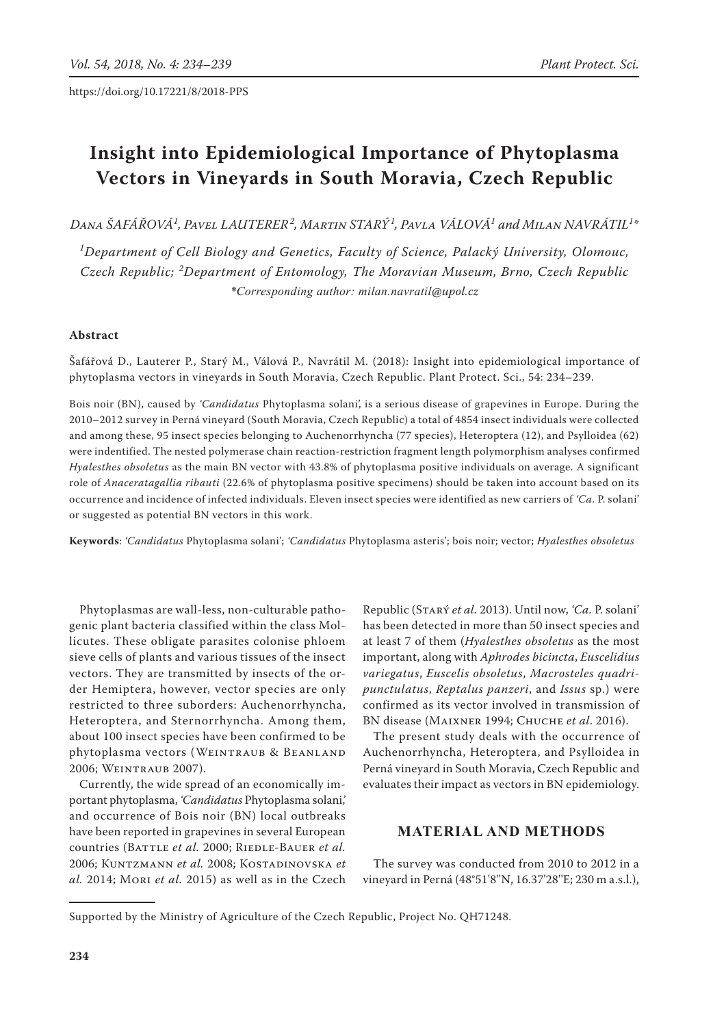# **Insight into Epidemiological Importance of Phytoplasma Vectors in Vineyards in South Moravia, Czech Republic**

*Dana Šafářová1 , Pavel Lauterer<sup>2</sup> , Martin Starý<sup>1</sup> , Pavla Válová1 and Milan Navrátil<sup>1</sup> \**

*1 Department of Cell Biology and Genetics, Faculty of Science, Palacký University, Olomouc, Czech Republic; <sup>2</sup> Department of Entomology, The Moravian Museum, Brno, Czech Republic \*Corresponding author: milan.navratil@upol.cz*

# **Abstract**

Šafářová D., Lauterer P., Starý M., Válová P., Navrátil M. (2018): Insight into epidemiological importance of phytoplasma vectors in vineyards in South Moravia, Czech Republic. Plant Protect. Sci., 54: 234–239.

Bois noir (BN), caused by *'Candidatus* Phytoplasma solani', is a serious disease of grapevines in Europe. During the 2010–2012 survey in Perná vineyard (South Moravia, Czech Republic) a total of 4854 insect individuals were collected and among these, 95 insect species belonging to Auchenorrhyncha (77 species), Heteroptera (12), and Psylloidea (62) were indentified. The nested polymerase chain reaction-restriction fragment length polymorphism analyses confirmed *Hyalesthes obsoletus* as the main BN vector with 43.8% of phytoplasma positive individuals on average. A significant role of *Anaceratagallia ribauti* (22.6% of phytoplasma positive specimens) should be taken into account based on its occurrence and incidence of infected individuals. Eleven insect species were identified as new carriers of *'Ca.* P. solani' or suggested as potential BN vectors in this work.

**Keywords**: *'Candidatus* Phytoplasma solani'; *'Candidatus* Phytoplasma asteris'; bois noir; vector; *Hyalesthes obsoletus*

Phytoplasmas are wall-less, non-culturable pathogenic plant bacteria classified within the class Mollicutes. These obligate parasites colonise phloem sieve cells of plants and various tissues of the insect vectors. They are transmitted by insects of the order Hemiptera, however, vector species are only restricted to three suborders: Auchenorrhyncha, Heteroptera, and Sternorrhyncha. Among them, about 100 insect species have been confirmed to be phytoplasma vectors (WEINTRAUB & BEANLAND 2006; Weintraub 2007).

Currently, the wide spread of an economically important phytoplasma, *'Candidatus* Phytoplasma solani*',* and occurrence of Bois noir (BN) local outbreaks have been reported in grapevines in several European countries (BATTLE et al. 2000; RIEDLE-BAUER et al. 2006; Kuntzmann *et al.* 2008; Kostadinovska *et al.* 2014; Mori *et al.* 2015) as well as in the Czech Republic (Starý *et al.* 2013). Until now, *'Ca.* P. solani' has been detected in more than 50 insect species and at least 7 of them (*Hyalesthes obsoletus* as the most important, along with *Aphrodes bicincta*, *Euscelidius variegatus*, *Euscelis obsoletus*, *Macrosteles quadripunctulatus*, *Reptalus panzeri*, and *Issus* sp.) were confirmed as its vector involved in transmission of BN disease (Maixner 1994; Chuche *et al*. 2016).

The present study deals with the occurrence of Auchenorrhyncha, Heteroptera, and Psylloidea in Perná vineyard in South Moravia, Czech Republic and evaluates their impact as vectors in BN epidemiology.

# **Material and Methods**

The survey was conducted from 2010 to 2012 in a vineyard in Perná (48°51'8''N, 16.37'28''E; 230 m a.s.l.),

Supported by the Ministry of Agriculture of the Czech Republic, Project No. QH71248.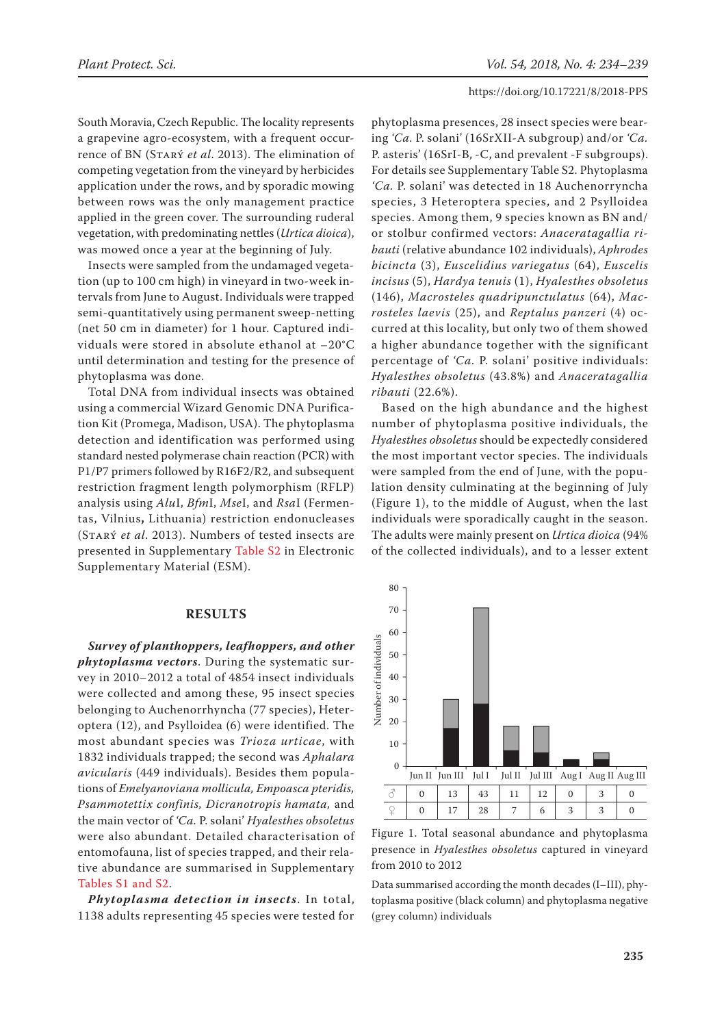South Moravia, Czech Republic. The locality represents a grapevine agro-ecosystem, with a frequent occurrence of BN (Starý *et al*. 2013). The elimination of competing vegetation from the vineyard by herbicides application under the rows, and by sporadic mowing between rows was the only management practice applied in the green cover. The surrounding ruderal vegetation, with predominating nettles (*Urtica dioica*), was mowed once a year at the beginning of July.

Insects were sampled from the undamaged vegetation (up to 100 cm high) in vineyard in two-week intervals from June to August. Individuals were trapped semi-quantitatively using permanent sweep-netting (net 50 cm in diameter) for 1 hour. Captured individuals were stored in absolute ethanol at –20°C until determination and testing for the presence of phytoplasma was done.

Total DNA from individual insects was obtained using a commercial Wizard Genomic DNA Purification Kit (Promega, Madison, USA). The phytoplasma detection and identification was performed using standard nested polymerase chain reaction (PCR) with P1/P7 primers followed by R16F2/R2, and subsequent restriction fragment length polymorphism (RFLP) analysis using *Alu*I, *Bfm*I, *Mse*I, and *Rsa*I (Fermentas, Vilnius**,** Lithuania) restriction endonucleases (Starý *et al*. 2013). Numbers of tested insects are presented in Supplementary [Table S2](https://www.agriculturejournals.cz/web/pps.htm?type=easForDoiArticle&id=8_2018-PPS) in Electronic Supplementary Material (ESM).

### **Results**

*Survey of planthoppers, leafhoppers, and other phytoplasma vectors*. During the systematic survey in 2010–2012 a total of 4854 insect individuals were collected and among these, 95 insect species belonging to Auchenorrhyncha (77 species), Heteroptera (12), and Psylloidea (6) were identified. The most abundant species was *Trioza urticae*, with 1832 individuals trapped; the second was *Aphalara avicularis* (449 individuals). Besides them populations of *Emelyanoviana mollicula, Empoasca pteridis, Psammotettix confinis, Dicranotropis hamata,* and the main vector of *'Ca.* P. solani' *Hyalesthes obsoletus* were also abundant. Detailed characterisation of entomofauna, list of species trapped, and their relative abundance are summarised in Supplementary [Tables S1 and S2.](https://www.agriculturejournals.cz/web/pps.htm?type=easForDoiArticle&id=8_2018-PPS) 

*Phytoplasma detection in insects*. In total, 1138 adults representing 45 species were tested for

phytoplasma presences, 28 insect species were bearing *'Ca.* P. solani' (16SrXII-A subgroup) and/or *'Ca.* P. asteris' (16SrI-B, -C, and prevalent -F subgroups). For details see Supplementary Table S2. Phytoplasma *'Ca.* P. solani' was detected in 18 Auchenorryncha species, 3 Heteroptera species, and 2 Psylloidea species. Among them, 9 species known as BN and/ or stolbur confirmed vectors: *Anaceratagallia ribauti* (relative abundance 102 individuals), *Aphrodes bicincta* (3), *Euscelidius variegatus* (64), *Euscelis incisus* (5), *Hardya tenuis* (1), *Hyalesthes obsoletus*  (146), *Macrosteles quadripunctulatus* (64), *Macrosteles laevis* (25), and *Reptalus panzeri* (4) occurred at this locality, but only two of them showed a higher abundance together with the significant percentage of *'Ca.* P. solani' positive individuals: *Hyalesthes obsoletus* (43.8%) and *Anaceratagallia ribauti* (22.6%).

Based on the high abundance and the highest number of phytoplasma positive individuals, the *Hyalesthes obsoletus* should be expectedly considered the most important vector species. The individuals were sampled from the end of June, with the population density culminating at the beginning of July (Figure 1), to the middle of August, when the last individuals were sporadically caught in the season. The adults were mainly present on *Urtica dioica* (94% of the collected individuals), and to a lesser extent



Figure 1. Total seasonal abundance and phytoplasma presence in *Hyalesthes obsoletus* captured in vineyard from 2010 to 2012

Data summarised according the month decades (I–III), phytoplasma positive (black column) and phytoplasma negative (grey column) individuals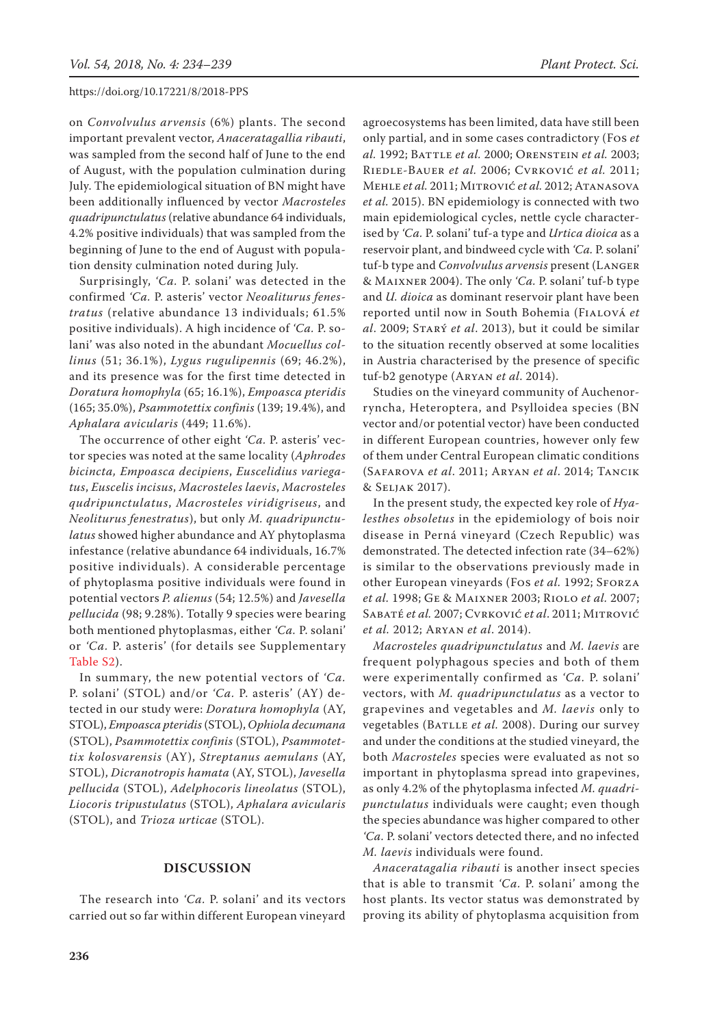on *Convolvulus arvensis* (6%) plants. The second important prevalent vector, *Anaceratagallia ribauti*, was sampled from the second half of June to the end of August, with the population culmination during July. The epidemiological situation of BN might have been additionally influenced by vector *Macrosteles quadripunctulatus* (relative abundance 64 individuals, 4.2% positive individuals) that was sampled from the beginning of June to the end of August with population density culmination noted during July.

Surprisingly, *'Ca.* P. solani' was detected in the confirmed *'Ca.* P. asteris' vector *Neoaliturus fenestratus* (relative abundance 13 individuals; 61.5% positive individuals). A high incidence of *'Ca.* P. solani' was also noted in the abundant *Mocuellus collinus* (51; 36.1%), *Lygus rugulipennis* (69; 46.2%), and its presence was for the first time detected in *Doratura homophyla* (65; 16.1%), *Empoasca pteridis* (165; 35.0%), *Psammotettix confinis* (139; 19.4%), and *Aphalara avicularis* (449; 11.6%).

The occurrence of other eight *'Ca.* P. asteris' vector species was noted at the same locality (*Aphrodes bicincta, Empoasca decipiens*, *Euscelidius variegatus*, *Euscelis incisus*, *Macrosteles laevis*, *Macrosteles qudripunctulatus*, *Macrosteles viridigriseus*, and *Neoliturus fenestratus*), but only *M. quadripunctulatus* showed higher abundance and AY phytoplasma infestance (relative abundance 64 individuals, 16.7% positive individuals). A considerable percentage of phytoplasma positive individuals were found in potential vectors *P. alienus* (54; 12.5%) and *Javesella pellucida* (98; 9.28%). Totally 9 species were bearing both mentioned phytoplasmas, either *'Ca.* P. solani' or *'Ca.* P. asteris' (for details see Supplementary [Table S2\).](https://www.agriculturejournals.cz/web/pps.htm?type=easForDoiArticle&id=8_2018-PPS)

In summary, the new potential vectors of *'Ca.*  P. solani' (STOL) and/or *'Ca.* P. asteris' (AY) detected in our study were: *Doratura homophyla* (AY, STOL), *Empoasca pteridis* (STOL), *Ophiola decumana* (STOL), *Psammotettix confinis* (STOL), *Psammotettix kolosvarensis* (AY), *Streptanus aemulans* (AY, STOL), *Dicranotropis hamata* (AY, STOL), *Javesella pellucida* (STOL), *Adelphocoris lineolatus* (STOL), *Liocoris tripustulatus* (STOL), *Aphalara avicularis* (STOL), and *Trioza urticae* (STOL).

## **Discussion**

The research into *'Ca.* P. solani' and its vectors carried out so far within different European vineyard agroecosystems has been limited, data have still been only partial, and in some cases contradictory (Fos *et al.* 1992; Battle *et al.* 2000; Orenstein *et al.* 2003; Riedle-Bauer *et al.* 2006; Cvrković *et al.* 2011; Mehle *et al.* 2011; Mitrović *et al.* 2012; Atanasova *et al.* 2015). BN epidemiology is connected with two main epidemiological cycles, nettle cycle characterised by *'Ca.* P. solani' tuf-a type and *Urtica dioica* as a reservoir plant, and bindweed cycle with *'Ca.* P. solani' tuf-b type and *Convolvulus arvensis* present (Langer & Maixner 2004). The only *'Ca.* P. solani' tuf-b type and *U. dioica* as dominant reservoir plant have been reported until now in South Bohemia (Fialová *et al*. 2009; Starý *et al*. 2013), but it could be similar to the situation recently observed at some localities in Austria characterised by the presence of specific tuf-b2 genotype (Aryan *et al*. 2014).

Studies on the vineyard community of Auchenorryncha, Heteroptera, and Psylloidea species (BN vector and/or potential vector) have been conducted in different European countries, however only few of them under Central European climatic conditions (Safarova *et al*. 2011; Aryan *et al*. 2014; Tancik & Seljak 2017).

In the present study, the expected key role of *Hyalesthes obsoletus* in the epidemiology of bois noir disease in Perná vineyard (Czech Republic) was demonstrated. The detected infection rate (34–62%) is similar to the observations previously made in other European vineyards (Fos et al. 1992; SFORZA *et al.* 1998; Ge & Maixner 2003; Riolo *et al.* 2007; Sabaté *et al.* 2007; Cvrković *et al*. 2011; Mitrović *et al.* 2012; Aryan *et al*. 2014).

*Macrosteles quadripunctulatus* and *M. laevis* are frequent polyphagous species and both of them were experimentally confirmed as *'Ca.* P. solani' vectors, with *M. quadripunctulatus* as a vector to grapevines and vegetables and *M. laevis* only to vegetables (BATLLE *et al.* 2008). During our survey and under the conditions at the studied vineyard, the both *Macrosteles* species were evaluated as not so important in phytoplasma spread into grapevines, as only 4.2% of the phytoplasma infected *M. quadripunctulatus* individuals were caught; even though the species abundance was higher compared to other *'Ca.* P. solani' vectors detected there, and no infected *M. laevis* individuals were found.

*Anaceratagalia ribauti* is another insect species that is able to transmit *'Ca.* P. solani' among the host plants. Its vector status was demonstrated by proving its ability of phytoplasma acquisition from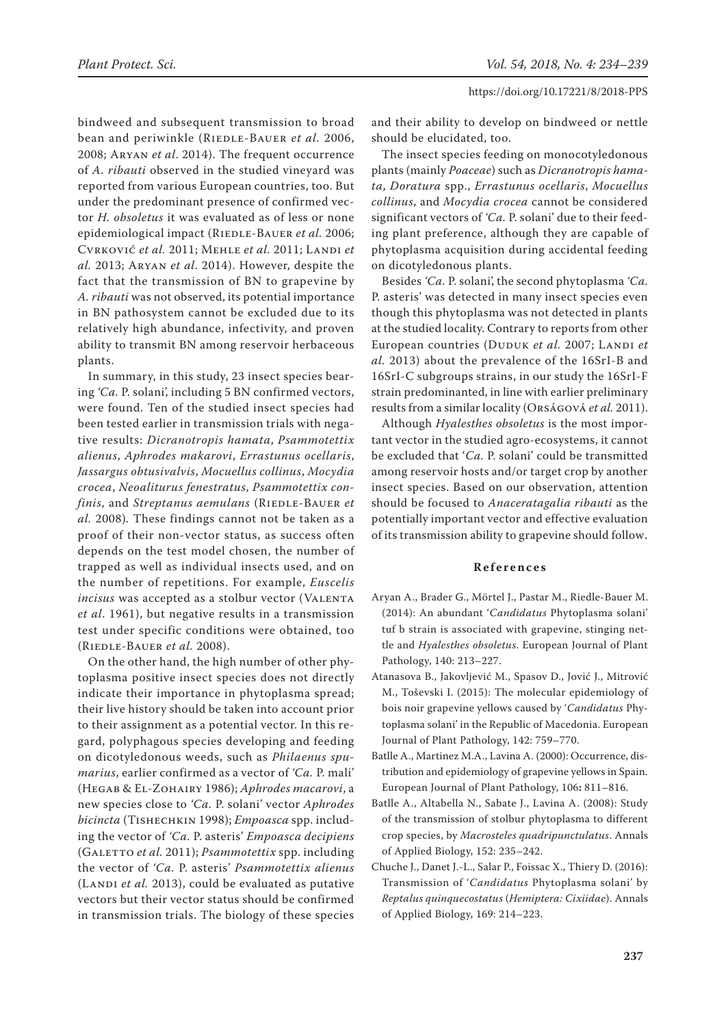bindweed and subsequent transmission to broad bean and periwinkle (RIEDLE-BAUER et al. 2006, 2008; Aryan *et al*. 2014). The frequent occurrence of *A. ribauti* observed in the studied vineyard was reported from various European countries, too. But under the predominant presence of confirmed vector *H. obsoletus* it was evaluated as of less or none epidemiological impact (RIEDLE-BAUER et al. 2006; Cvrković *et al.* 2011; Mehle *et al.* 2011; Landi *et al.* 2013; Aryan *et al*. 2014). However, despite the fact that the transmission of BN to grapevine by *A. ribauti* was not observed, its potential importance in BN pathosystem cannot be excluded due to its relatively high abundance, infectivity, and proven ability to transmit BN among reservoir herbaceous plants.

In summary, in this study, 23 insect species bearing *'Ca.* P. solani', including 5 BN confirmed vectors, were found. Ten of the studied insect species had been tested earlier in transmission trials with negative results: *Dicranotropis hamata*, *Psammotettix alienus*, *Aphrodes makarovi*, *Errastunus ocellaris*, *Jassargus obtusivalvis*, *Mocuellus collinus*, *Mocydia crocea*, *Neoaliturus fenestratus*, *Psammotettix confinis*, and *Streptanus aemulans* (RIEDLE-BAUER *et al.* 2008)*.* These findings cannot not be taken as a proof of their non-vector status, as success often depends on the test model chosen, the number of trapped as well as individual insects used, and on the number of repetitions. For example, *Euscelis incisus* was accepted as a stolbur vector (VALENTA *et al*. 1961), but negative results in a transmission test under specific conditions were obtained, too (Riedle-Bauer *et al.* 2008).

On the other hand, the high number of other phytoplasma positive insect species does not directly indicate their importance in phytoplasma spread; their live history should be taken into account prior to their assignment as a potential vector. In this regard, polyphagous species developing and feeding on dicotyledonous weeds, such as *Philaenus spumarius*, earlier confirmed as a vector of *'Ca.* P. mali' (Hegab & El-Zohairy 1986); *Aphrodes macarovi*, a new species close to *'Ca.* P. solani' vector *Aphrodes bicincta* (Tishechkin 1998); *Empoasca* spp. including the vector of *'Ca.* P. asteris' *Empoasca decipiens* (GALETTO *et al.* 2011); *Psammotettix* spp. including the vector of *'Ca.* P. asteris' *Psammotettix alienus* (LANDI et al. 2013), could be evaluated as putative vectors but their vector status should be confirmed in transmission trials. The biology of these species

and their ability to develop on bindweed or nettle should be elucidated, too.

The insect species feeding on monocotyledonous plants (mainly *Poaceae*) such as *Dicranotropis hamata*, *Doratura* spp., *Errastunus ocellaris*, *Mocuellus collinus*, and *Mocydia crocea* cannot be considered significant vectors of *'Ca.* P. solani' due to their feeding plant preference, although they are capable of phytoplasma acquisition during accidental feeding on dicotyledonous plants.

Besides *'Ca.* P. solani', the second phytoplasma *'Ca.* P. asteris' was detected in many insect species even though this phytoplasma was not detected in plants at the studied locality. Contrary to reports from other European countries (DUDUK et al. 2007; LANDI et *al.* 2013) about the prevalence of the 16SrI-B and 16SrI-C subgroups strains, in our study the 16SrI-F strain predominanted, in line with earlier preliminary results from a similar locality (Orságová *et al.* 2011).

Although *Hyalesthes obsoletus* is the most important vector in the studied agro-ecosystems, it cannot be excluded that '*Ca.* P. solani' could be transmitted among reservoir hosts and/or target crop by another insect species. Based on our observation, attention should be focused to *Anaceratagalia ribauti* as the potentially important vector and effective evaluation of its transmission ability to grapevine should follow.

#### **References**

- Aryan A., Brader G., Mörtel J., Pastar M., Riedle-Bauer M. (2014): An abundant '*Candidatus* Phytoplasma solani' tuf b strain is associated with grapevine, stinging nettle and *Hyalesthes obsoletus*. European Journal of Plant Pathology, 140: 213–227.
- Atanasova B., Jakovljević M., Spasov D., Jović J., Mitrović M., Toševski I. (2015): The molecular epidemiology of bois noir grapevine yellows caused by '*Candidatus* Phytoplasma solani' in the Republic of Macedonia. European Journal of Plant Pathology, 142: 759–770.
- Batlle A., Martinez M.A., Lavina A. (2000): Occurrence, distribution and epidemiology of grapevine yellows in Spain. European Journal of Plant Pathology, 106**:** 811–816.
- Batlle A., Altabella N., Sabate J., Lavina A. (2008): Study of the transmission of stolbur phytoplasma to different crop species, by *Macrosteles quadripunctulatus*. Annals of Applied Biology, 152: 235–242.
- Chuche J., Danet J.-L., Salar P., Foissac X., Thiery D. (2016): Transmission of '*Candidatus* Phytoplasma solani' by *Reptalus quinquecostatus* (*Hemiptera: Cixiidae*). Annals of Applied Biology, 169: 214–223.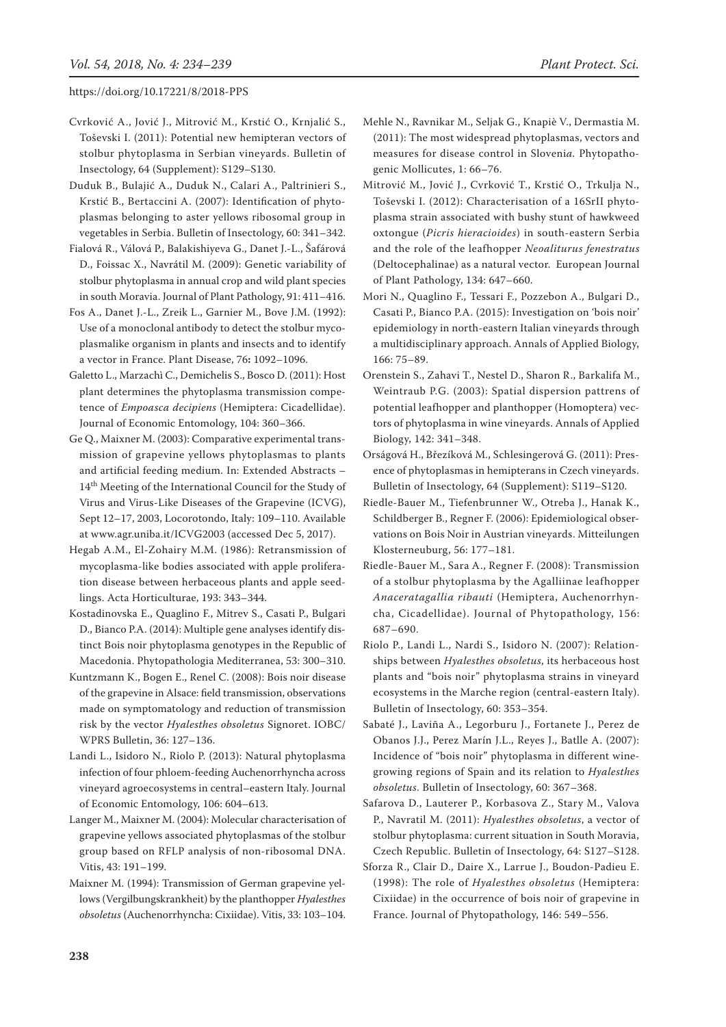- Cvrković A., Jović J., Mitrović M., Krstić O., Krnjalić S., Toševski I. (2011): Potential new hemipteran vectors of stolbur phytoplasma in Serbian vineyards. Bulletin of Insectology, 64 (Supplement): S129–S130.
- Duduk B., Bulajić A., Duduk N., Calari A., Paltrinieri S., Krstić B., Bertaccini A. (2007): Identification of phytoplasmas belonging to aster yellows ribosomal group in vegetables in Serbia. Bulletin of Insectology, 60: 341–342.
- Fialová R., Válová P., Balakishiyeva G., Danet J.-L., Šafárová D., Foissac X., Navrátil M. (2009): Genetic variability of stolbur phytoplasma in annual crop and wild plant species in south Moravia. Journal of Plant Pathology, 91: 411–416.
- Fos A., Danet J.-L., Zreik L., Garnier M., Bove J.M. (1992): Use of a monoclonal antibody to detect the stolbur mycoplasmalike organism in plants and insects and to identify a vector in France. Plant Disease, 76**:** 1092–1096.
- Galetto L., Marzachì C., Demichelis S., Bosco D. (2011): Host plant determines the phytoplasma transmission competence of *Empoasca decipiens* (Hemiptera: Cicadellidae). Journal of Economic Entomology, 104: 360–366.
- Ge Q., Maixner M. (2003): Comparative experimental transmission of grapevine yellows phytoplasmas to plants and artificial feeding medium. In: Extended Abstracts – 14<sup>th</sup> Meeting of the International Council for the Study of Virus and Virus-Like Diseases of the Grapevine (ICVG), Sept 12–17, 2003, Locorotondo, Italy: 109–110. Available at www.agr.uniba.it/ICVG2003 (accessed Dec 5, 2017).
- Hegab A.M., El-Zohairy M.M. (1986): Retransmission of mycoplasma-like bodies associated with apple proliferation disease between herbaceous plants and apple seedlings. Acta Horticulturae, 193: 343–344.
- Kostadinovska E., Quaglino F., Mitrev S., Casati P., Bulgari D., Bianco P.A. (2014): Multiple gene analyses identify distinct Bois noir phytoplasma genotypes in the Republic of Macedonia. Phytopathologia Mediterranea, 53: 300–310.
- Kuntzmann K., Bogen E., Renel C. (2008): Bois noir disease of the grapevine in Alsace: field transmission, observations made on symptomatology and reduction of transmission risk by the vector *Hyalesthes obsoletus* Signoret. IOBC/ WPRS Bulletin, 36: 127–136.
- Landi L., Isidoro N., Riolo P. (2013): Natural phytoplasma infection of four phloem-feeding Auchenorrhyncha across vineyard agroecosystems in central–eastern Italy. Journal of Economic Entomology, 106: 604–613.
- Langer M., Maixner M. (2004): Molecular characterisation of grapevine yellows associated phytoplasmas of the stolbur group based on RFLP analysis of non-ribosomal DNA. Vitis, 43: 191–199.
- Maixner M. (1994): Transmission of German grapevine yellows (Vergilbungskrankheit) by the planthopper *Hyalesthes obsoletus* (Auchenorrhyncha: Cixiidae). Vitis, 33: 103–104.
- Mehle N., Ravnikar M., Seljak G., Knapiè V., Dermastia M. (2011): The most widespread phytoplasmas, vectors and measures for disease control in Sloveni*a.* Phytopathogenic Mollicutes, 1: 66–76.
- Mitrović M., Jović J., Cvrković T., Krstić O., Trkulja N., Toševski I. (2012): Characterisation of a 16SrII phytoplasma strain associated with bushy stunt of hawkweed oxtongue (*Picris hieracioides*) in south-eastern Serbia and the role of the leafhopper *Neoaliturus fenestratus* (Deltocephalinae) as a natural vector. European Journal of Plant Pathology, 134: 647–660.
- Mori N., Quaglino F., Tessari F., Pozzebon A., Bulgari D., Casati P., Bianco P.A. (2015): Investigation on 'bois noir' epidemiology in north-eastern Italian vineyards through a multidisciplinary approach. Annals of Applied Biology, 166: 75–89.
- Orenstein S., Zahavi T., Nestel D., Sharon R., Barkalifa M., Weintraub P.G. (2003): Spatial dispersion pattrens of potential leafhopper and planthopper (Homoptera) vectors of phytoplasma in wine vineyards. Annals of Applied Biology, 142: 341–348.
- Orságová H., Březíková M., Schlesingerová G. (2011): Presence of phytoplasmas in hemipterans in Czech vineyards. Bulletin of Insectology, 64 (Supplement): S119–S120.
- Riedle-Bauer M., Tiefenbrunner W., Otreba J., Hanak K., Schildberger B., Regner F. (2006): Epidemiological observations on Bois Noir in Austrian vineyards. Mitteilungen Klosterneuburg, 56: 177–181.
- Riedle-Bauer M., Sara A., Regner F. (2008): Transmission of a stolbur phytoplasma by the Agalliinae leafhopper *Anaceratagallia ribauti* (Hemiptera, Auchenorrhyncha, Cicadellidae). Journal of Phytopathology, 156: 687–690.
- Riolo P., Landi L., Nardi S., Isidoro N. (2007): Relationships between *Hyalesthes obsoletus*, its herbaceous host plants and "bois noir" phytoplasma strains in vineyard ecosystems in the Marche region (central-eastern Italy). Bulletin of Insectology, 60: 353–354.
- Sabaté J., Laviña A., Legorburu J., Fortanete J., Perez de Obanos J.J., Perez Marín J.L., Reyes J., Batlle A. (2007): Incidence of "bois noir" phytoplasma in different winegrowing regions of Spain and its relation to *Hyalesthes obsoletus*. Bulletin of Insectology, 60: 367–368.
- Safarova D., Lauterer P., Korbasova Z., Stary M., Valova P., Navratil M. (2011): *Hyalesthes obsoletus*, a vector of stolbur phytoplasma: current situation in South Moravia, Czech Republic. Bulletin of Insectology, 64: S127–S128.
- Sforza R., Clair D., Daire X., Larrue J., Boudon-Padieu E. (1998): The role of *Hyalesthes obsoletus* (Hemiptera: Cixiidae) in the occurrence of bois noir of grapevine in France. Journal of Phytopathology, 146: 549–556.